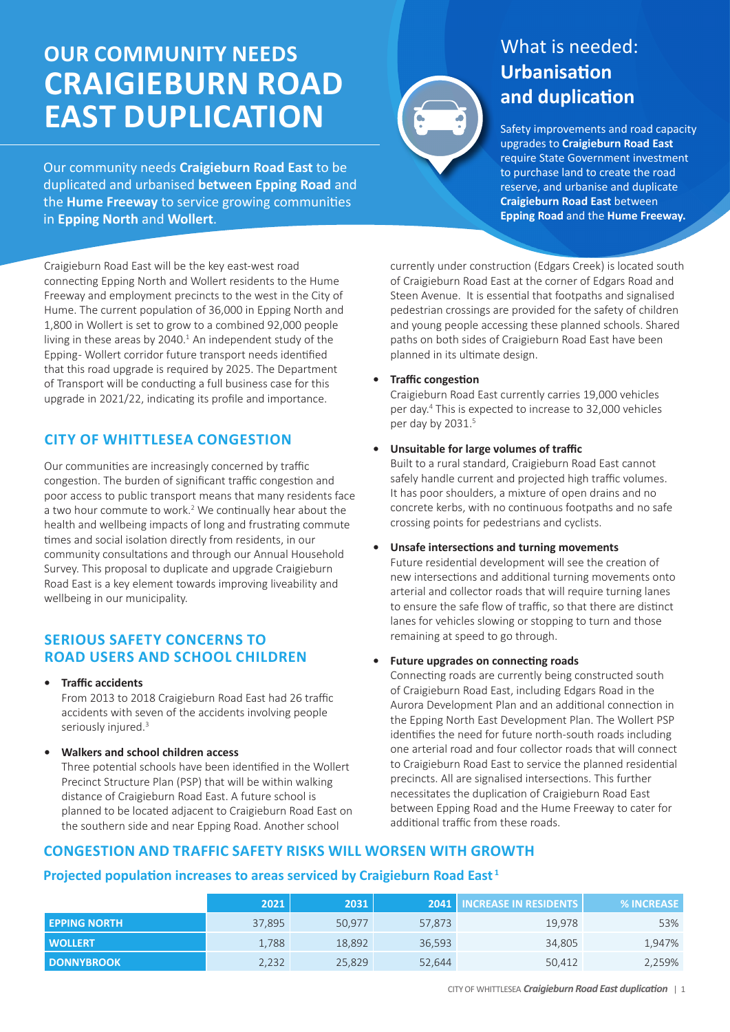# **OUR COMMUNITY NEEDS CRAIGIEBURN ROAD EAST DUPLICATION**

Our community needs **Craigieburn Road East** to be duplicated and urbanised **between Epping Road** and the **Hume Freeway** to service growing communities in **Epping North** and **Wollert**.

Craigieburn Road East will be the key east-west road connecting Epping North and Wollert residents to the Hume Freeway and employment precincts to the west in the City of Hume. The current population of 36,000 in Epping North and 1,800 in Wollert is set to grow to a combined 92,000 people living in these areas by  $2040<sup>1</sup>$  An independent study of the Epping - Wollert corridor future transport needs identified that this road upgrade is required by 2025. The Department of Transport will be conducting a full business case for this upgrade in 2021/22, indicating its profile and importance.

## **CITY OF WHITTLESEA CONGESTION**

Our communities are increasingly concerned by traffic congestion. The burden of significant traffic congestion and poor access to public transport means that many residents face a two hour commute to work.<sup>2</sup> We continually hear about the health and wellbeing impacts of long and frustrating commute times and social isolation directly from residents, in our community consultations and through our Annual Household Survey. This proposal to duplicate and upgrade Craigieburn Road East is a key element towards improving liveability and wellbeing in our municipality.

## **SERIOUS SAFETY CONCERNS TO ROAD USERS AND SCHOOL CHILDREN**

**• Traffic accidents** 

From 2013 to 2018 Craigieburn Road East had 26 traffic accidents with seven of the accidents involving people seriously injured.<sup>3</sup>

**• Walkers and school children access**

Three potential schools have been identified in the Wollert Precinct Structure Plan (PSP) that will be within walking distance of Craigieburn Road East. A future school is planned to be located adjacent to Craigieburn Road East on the southern side and near Epping Road. Another school



## What is needed: **Urbanisation and duplication**

Safety improvements and road capacity upgrades to **Craigieburn Road East** require State Government investment to purchase land to create the road reserve, and urbanise and duplicate **Craigieburn Road East** between **Epping Road** and the **Hume Freeway.**

currently under construction (Edgars Creek) is located south of Craigieburn Road East at the corner of Edgars Road and Steen Avenue. It is essential that footpaths and signalised pedestrian crossings are provided for the safety of children and young people accessing these planned schools. Shared paths on both sides of Craigieburn Road East have been planned in its ultimate design.

**• Traffic congestion**

Craigieburn Road East currently carries 19,000 vehicles per day.4 This is expected to increase to 32,000 vehicles per day by 2031.<sup>5</sup>

### **• Unsuitable for large volumes of traffic**

Built to a rural standard, Craigieburn Road East cannot safely handle current and projected high traffic volumes. It has poor shoulders, a mixture of open drains and no concrete kerbs, with no continuous footpaths and no safe crossing points for pedestrians and cyclists.

**• Unsafe intersections and turning movements**

Future residential development will see the creation of new intersections and additional turning movements onto arterial and collector roads that will require turning lanes to ensure the safe flow of traffic, so that there are distinct lanes for vehicles slowing or stopping to turn and those remaining at speed to go through.

### **• Future upgrades on connecting roads**

Connecting roads are currently being constructed south of Craigieburn Road East, including Edgars Road in the Aurora Development Plan and an additional connection in the Epping North East Development Plan. The Wollert PSP identifies the need for future north-south roads including one arterial road and four collector roads that will connect to Craigieburn Road East to service the planned residential precincts. All are signalised intersections. This further necessitates the duplication of Craigieburn Road East between Epping Road and the Hume Freeway to cater for additional traffic from these roads.

## **CONGESTION AND TRAFFIC SAFETY RISKS WILL WORSEN WITH GROWTH**

## **Projected population increases to areas serviced by Craigieburn Road East<sup>1</sup>**

|                     | 2021   | 2031   |        | <b>2041   INCREASE IN RESIDENTS  </b> | <b>% INCREASE</b> |
|---------------------|--------|--------|--------|---------------------------------------|-------------------|
| <b>EPPING NORTH</b> | 37.895 | 50.977 | 57,873 | 19.978                                | 53%               |
| <b>WOLLERT</b>      | 1.788  | 18,892 | 36,593 | 34.805                                | 1,947%            |
| <b>DONNYBROOK</b>   | 2,232  | 25,829 | 52,644 | 50,412                                | 2,259%            |

CITY OF WHITTLESEA *Craigieburn Road East duplication* | 1